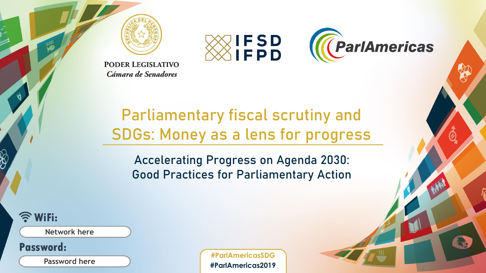



**PODER LEGISLATIVO** Cámara de Senadores

#### Parliamentary fiscal scrutiny and SDGs: Money as a lens for progress

Accelerating Progress on Agenda 2030: Good Practices for Parliamentary Action

**WiFi:** 

**Network here**

Password:

**Password here**

**#ParlAmericasSDG #ParlAmericas2019**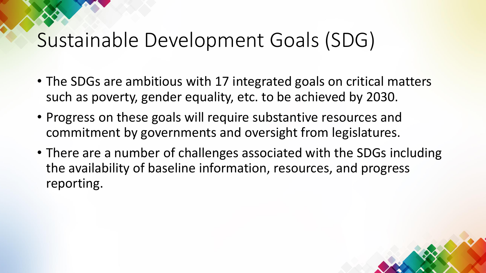### Sustainable Development Goals (SDG)

- The SDGs are ambitious with 17 integrated goals on critical matters such as poverty, gender equality, etc. to be achieved by 2030.
- Progress on these goals will require substantive resources and commitment by governments and oversight from legislatures.
- There are a number of challenges associated with the SDGs including the availability of baseline information, resources, and progress reporting.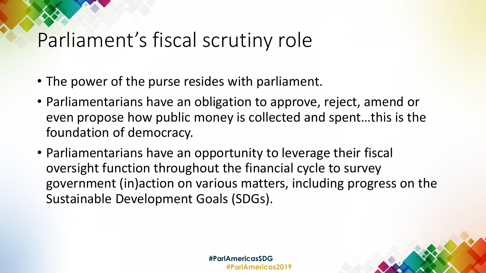### Parliament's fiscal scrutiny role

- The power of the purse resides with parliament.
- Parliamentarians have an obligation to approve, reject, amend or even propose how public money is collected and spent…this is the foundation of democracy.
- Parliamentarians have an opportunity to leverage their fiscal oversight function throughout the financial cycle to survey government (in)action on various matters, including progress on the Sustainable Development Goals (SDGs).

**#ParlAmericasSDG #ParlAmericas2019**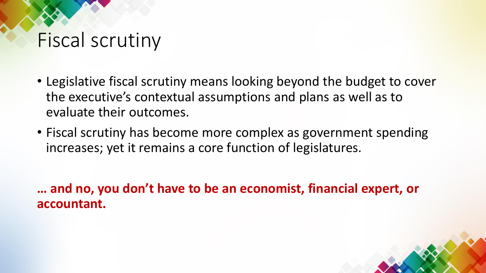### Fiscal scrutiny

- Legislative fiscal scrutiny means looking beyond the budget to cover the executive's contextual assumptions and plans as well as to evaluate their outcomes.
- Fiscal scrutiny has become more complex as government spending increases; yet it remains a core function of legislatures.

**… and no, you don't have to be an economist, financial expert, or accountant.**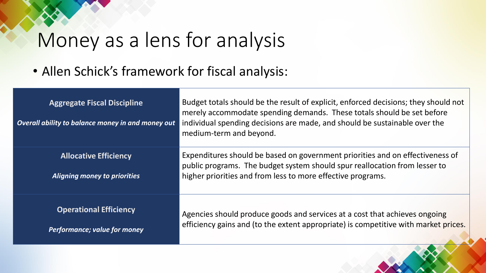### Money as a lens for analysis

• Allen Schick's framework for fiscal analysis:

| <b>Aggregate Fiscal Discipline</b><br>Overall ability to balance money in and money out | Budget totals should be the result of explicit, enforced decisions; they should not<br>merely accommodate spending demands. These totals should be set before<br>individual spending decisions are made, and should be sustainable over the<br>medium-term and beyond. |
|-----------------------------------------------------------------------------------------|------------------------------------------------------------------------------------------------------------------------------------------------------------------------------------------------------------------------------------------------------------------------|
| <b>Allocative Efficiency</b><br><b>Aligning money to priorities</b>                     | Expenditures should be based on government priorities and on effectiveness of<br>public programs. The budget system should spur reallocation from lesser to<br>higher priorities and from less to more effective programs.                                             |
| <b>Operational Efficiency</b><br>Performance; value for money                           | Agencies should produce goods and services at a cost that achieves ongoing<br>efficiency gains and (to the extent appropriate) is competitive with market prices.                                                                                                      |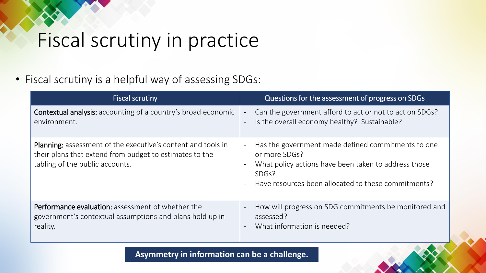# Fiscal scrutiny in practice

• Fiscal scrutiny is a helpful way of assessing SDGs:

| <b>Fiscal scrutiny</b>                                                                                                                                            | Questions for the assessment of progress on SDGs                                                                                                                                                                                     |
|-------------------------------------------------------------------------------------------------------------------------------------------------------------------|--------------------------------------------------------------------------------------------------------------------------------------------------------------------------------------------------------------------------------------|
| <b>Contextual analysis:</b> accounting of a country's broad economic<br>environment.                                                                              | Can the government afford to act or not to act on SDGs?<br>$\overline{\phantom{a}}$<br>Is the overall economy healthy? Sustainable?                                                                                                  |
| <b>Planning:</b> assessment of the executive's content and tools in<br>their plans that extend from budget to estimates to the<br>tabling of the public accounts. | Has the government made defined commitments to one<br>or more SDGs?<br>What policy actions have been taken to address those<br>$\overline{\phantom{a}}$<br>SDG <sub>s</sub> ?<br>Have resources been allocated to these commitments? |
| Performance evaluation: assessment of whether the<br>government's contextual assumptions and plans hold up in<br>reality.                                         | How will progress on SDG commitments be monitored and<br>assessed?<br>What information is needed?                                                                                                                                    |

**Asymmetry in information can be a challenge.**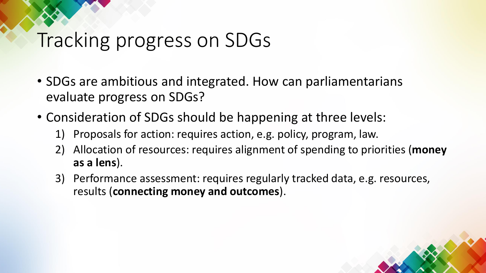### Tracking progress on SDGs

- SDGs are ambitious and integrated. How can parliamentarians evaluate progress on SDGs?
- Consideration of SDGs should be happening at three levels:
	- 1) Proposals for action: requires action, e.g. policy, program, law.
	- 2) Allocation of resources: requires alignment of spending to priorities (**money as a lens**).
	- 3) Performance assessment: requires regularly tracked data, e.g. resources, results (**connecting money and outcomes**).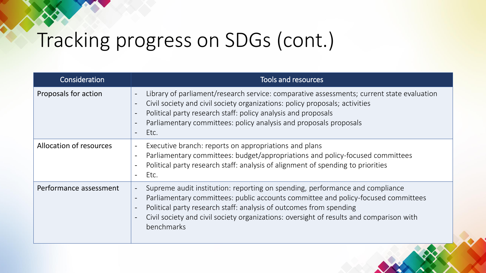## Tracking progress on SDGs (cont.)

| Consideration                  | <b>Tools and resources</b>                                                                                                                                                                                                                                                                                                                                                                                                                                       |
|--------------------------------|------------------------------------------------------------------------------------------------------------------------------------------------------------------------------------------------------------------------------------------------------------------------------------------------------------------------------------------------------------------------------------------------------------------------------------------------------------------|
| Proposals for action           | Library of parliament/research service: comparative assessments; current state evaluation<br>$\overline{\phantom{a}}$<br>Civil society and civil society organizations: policy proposals; activities<br>$\blacksquare$<br>Political party research staff: policy analysis and proposals<br>$\overline{\phantom{a}}$<br>Parliamentary committees: policy analysis and proposals proposals<br>$\overline{\phantom{a}}$<br>Etc.<br>$\overline{\phantom{a}}$         |
| <b>Allocation of resources</b> | Executive branch: reports on appropriations and plans<br>$\overline{\phantom{a}}$<br>Parliamentary committees: budget/appropriations and policy-focused committees<br>$\overline{\phantom{a}}$<br>Political party research staff: analysis of alignment of spending to priorities<br>$\overline{\phantom{a}}$<br>Etc.<br>$\overline{\phantom{a}}$                                                                                                                |
| Performance assessment         | Supreme audit institution: reporting on spending, performance and compliance<br>$\overline{\phantom{a}}$<br>Parliamentary committees: public accounts committee and policy-focused committees<br>$\overline{\phantom{a}}$<br>Political party research staff: analysis of outcomes from spending<br>$\overline{\phantom{a}}$<br>Civil society and civil society organizations: oversight of results and comparison with<br>$\overline{\phantom{a}}$<br>benchmarks |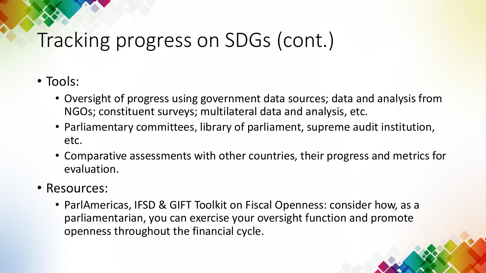## Tracking progress on SDGs (cont.)

- Tools:
	- Oversight of progress using government data sources; data and analysis from NGOs; constituent surveys; multilateral data and analysis, etc.
	- Parliamentary committees, library of parliament, supreme audit institution, etc.
	- Comparative assessments with other countries, their progress and metrics for evaluation.
- Resources:
	- ParlAmericas, IFSD & GIFT Toolkit on Fiscal Openness: consider how, as a parliamentarian, you can exercise your oversight function and promote openness throughout the financial cycle.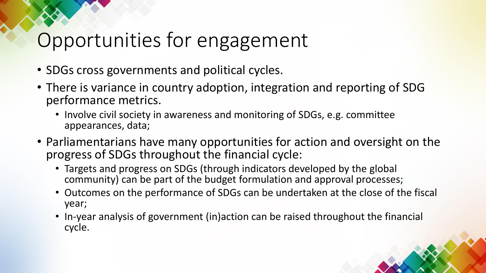### Opportunities for engagement

- SDGs cross governments and political cycles.
- There is variance in country adoption, integration and reporting of SDG performance metrics.
	- Involve civil society in awareness and monitoring of SDGs, e.g. committee appearances, data;
- Parliamentarians have many opportunities for action and oversight on the progress of SDGs throughout the financial cycle:
	- Targets and progress on SDGs (through indicators developed by the global community) can be part of the budget formulation and approval processes;
	- Outcomes on the performance of SDGs can be undertaken at the close of the fiscal year;
	- In-year analysis of government (in)action can be raised throughout the financial cycle.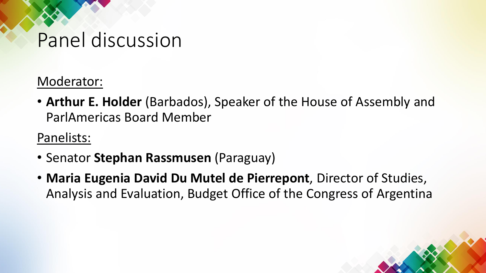#### Panel discussion

Moderator:

• **Arthur E. Holder** (Barbados), Speaker of the House of Assembly and ParlAmericas Board Member

Panelists:

- Senator **Stephan Rassmusen** (Paraguay)
- **Maria Eugenia David Du Mutel de Pierrepont**, Director of Studies, Analysis and Evaluation, Budget Office of the Congress of Argentina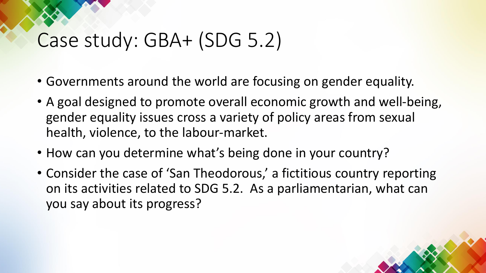### Case study: GBA+ (SDG 5.2)

- Governments around the world are focusing on gender equality.
- A goal designed to promote overall economic growth and well-being, gender equality issues cross a variety of policy areas from sexual health, violence, to the labour-market.
- How can you determine what's being done in your country?
- Consider the case of 'San Theodorous,' a fictitious country reporting on its activities related to SDG 5.2. As a parliamentarian, what can you say about its progress?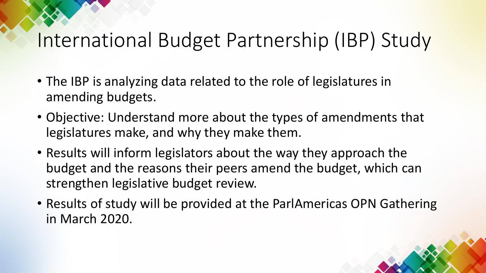### International Budget Partnership (IBP) Study

- The IBP is analyzing data related to the role of legislatures in amending budgets.
- Objective: Understand more about the types of amendments that legislatures make, and why they make them.
- Results will inform legislators about the way they approach the budget and the reasons their peers amend the budget, which can strengthen legislative budget review.
- Results of study will be provided at the ParlAmericas OPN Gathering in March 2020.